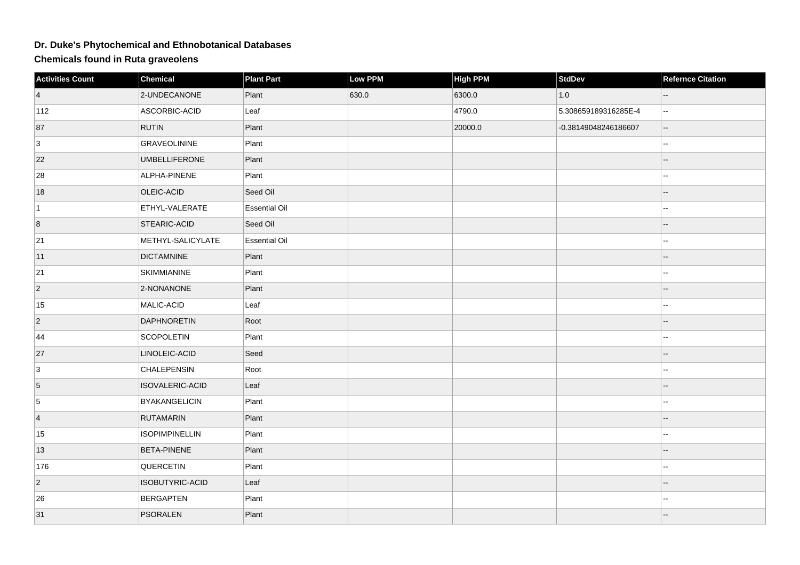## **Dr. Duke's Phytochemical and Ethnobotanical Databases**

**Chemicals found in Ruta graveolens**

| <b>Activities Count</b> | Chemical              | <b>Plant Part</b>    | Low PPM | <b>High PPM</b> | <b>StdDev</b>        | <b>Refernce Citation</b> |
|-------------------------|-----------------------|----------------------|---------|-----------------|----------------------|--------------------------|
| $\vert$ 4               | 2-UNDECANONE          | Plant                | 630.0   | 6300.0          | 1.0                  |                          |
| $ 112\rangle$           | ASCORBIC-ACID         | Leaf                 |         | 4790.0          | 5.308659189316285E-4 | ц.                       |
| 87                      | <b>RUTIN</b>          | Plant                |         | 20000.0         | -0.38149048246186607 | --                       |
| 3                       | <b>GRAVEOLININE</b>   | Plant                |         |                 |                      |                          |
| 22                      | <b>UMBELLIFERONE</b>  | Plant                |         |                 |                      | --                       |
| 28                      | ALPHA-PINENE          | Plant                |         |                 |                      |                          |
| 18                      | OLEIC-ACID            | Seed Oil             |         |                 |                      |                          |
| $\vert$ 1               | ETHYL-VALERATE        | <b>Essential Oil</b> |         |                 |                      |                          |
| 8                       | <b>STEARIC-ACID</b>   | Seed Oil             |         |                 |                      |                          |
| 21                      | METHYL-SALICYLATE     | <b>Essential Oil</b> |         |                 |                      | ۵.                       |
| 11                      | <b>DICTAMNINE</b>     | Plant                |         |                 |                      |                          |
| 21                      | <b>SKIMMIANINE</b>    | Plant                |         |                 |                      |                          |
| $\overline{2}$          | 2-NONANONE            | Plant                |         |                 |                      |                          |
| 15                      | MALIC-ACID            | Leaf                 |         |                 |                      |                          |
| $ 2\rangle$             | <b>DAPHNORETIN</b>    | Root                 |         |                 |                      |                          |
| 44                      | SCOPOLETIN            | Plant                |         |                 |                      |                          |
| 27                      | LINOLEIC-ACID         | Seed                 |         |                 |                      |                          |
| 3                       | <b>CHALEPENSIN</b>    | Root                 |         |                 |                      |                          |
| $\overline{5}$          | ISOVALERIC-ACID       | Leaf                 |         |                 |                      |                          |
| 5                       | <b>BYAKANGELICIN</b>  | Plant                |         |                 |                      | $\mathbf{u}$             |
| $\vert$ 4               | <b>RUTAMARIN</b>      | Plant                |         |                 |                      |                          |
| 15                      | <b>ISOPIMPINELLIN</b> | Plant                |         |                 |                      | --                       |
| 13                      | <b>BETA-PINENE</b>    | Plant                |         |                 |                      | $-$                      |
| 176                     | QUERCETIN             | Plant                |         |                 |                      | --                       |
| $ 2\rangle$             | ISOBUTYRIC-ACID       | Leaf                 |         |                 |                      |                          |
| 26                      | <b>BERGAPTEN</b>      | Plant                |         |                 |                      |                          |
| 31                      | <b>PSORALEN</b>       | Plant                |         |                 |                      |                          |